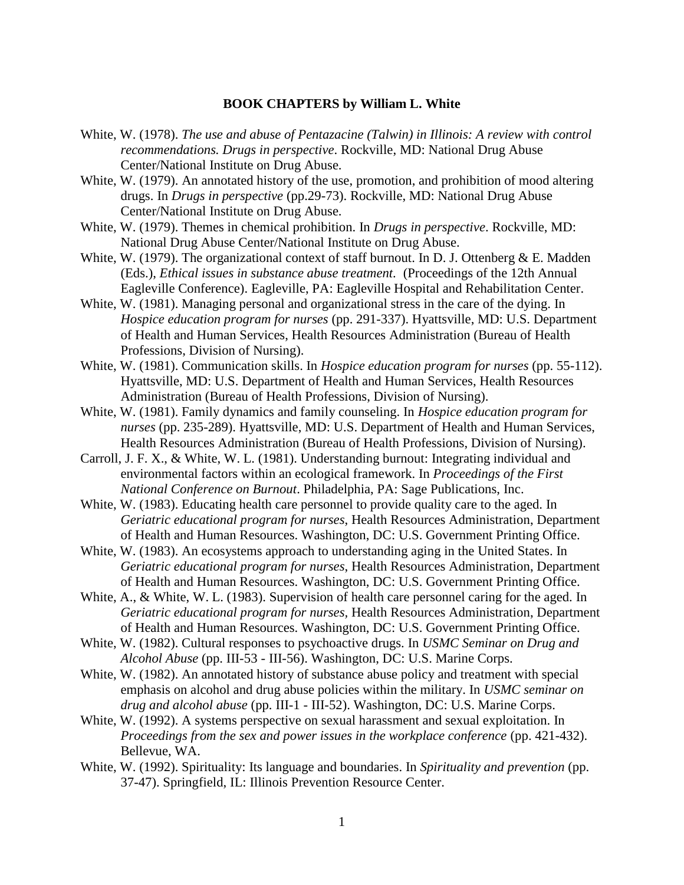## **BOOK CHAPTERS by William L. White**

- White, W. (1978). *The use and abuse of Pentazacine (Talwin) in Illinois: A review with control recommendations. Drugs in perspective*. Rockville, MD: National Drug Abuse Center/National Institute on Drug Abuse.
- White, W. (1979). An annotated history of the use, promotion, and prohibition of mood altering drugs. In *Drugs in perspective* (pp.29-73). Rockville, MD: National Drug Abuse Center/National Institute on Drug Abuse.
- White, W. (1979). Themes in chemical prohibition. In *Drugs in perspective*. Rockville, MD: National Drug Abuse Center/National Institute on Drug Abuse.
- White, W. (1979). The organizational context of staff burnout. In D. J. Ottenberg & E. Madden (Eds.), *Ethical issues in substance abuse treatment.* (Proceedings of the 12th Annual Eagleville Conference). Eagleville, PA: Eagleville Hospital and Rehabilitation Center.
- White, W. (1981). Managing personal and organizational stress in the care of the dying. In *Hospice education program for nurses* (pp. 291-337). Hyattsville, MD: U.S. Department of Health and Human Services, Health Resources Administration (Bureau of Health Professions, Division of Nursing).
- White, W. (1981). Communication skills. In *Hospice education program for nurses* (pp. 55-112). Hyattsville, MD: U.S. Department of Health and Human Services, Health Resources Administration (Bureau of Health Professions, Division of Nursing).
- White, W. (1981). Family dynamics and family counseling. In *Hospice education program for nurses* (pp. 235-289). Hyattsville, MD: U.S. Department of Health and Human Services, Health Resources Administration (Bureau of Health Professions, Division of Nursing).
- Carroll, J. F. X., & White, W. L. (1981). Understanding burnout: Integrating individual and environmental factors within an ecological framework. In *Proceedings of the First National Conference on Burnout*. Philadelphia, PA: Sage Publications, Inc.
- White, W. (1983). Educating health care personnel to provide quality care to the aged. In *Geriatric educational program for nurses*, Health Resources Administration, Department of Health and Human Resources. Washington, DC: U.S. Government Printing Office.
- White, W. (1983). An ecosystems approach to understanding aging in the United States. In *Geriatric educational program for nurses*, Health Resources Administration, Department of Health and Human Resources. Washington, DC: U.S. Government Printing Office.
- White, A., & White, W. L. (1983). Supervision of health care personnel caring for the aged. In *Geriatric educational program for nurses,* Health Resources Administration, Department of Health and Human Resources. Washington, DC: U.S. Government Printing Office.
- White, W. (1982). Cultural responses to psychoactive drugs. In *USMC Seminar on Drug and Alcohol Abuse* (pp. III-53 - III-56). Washington, DC: U.S. Marine Corps.
- White, W. (1982). An annotated history of substance abuse policy and treatment with special emphasis on alcohol and drug abuse policies within the military. In *USMC seminar on drug and alcohol abuse* (pp. III-1 - III-52). Washington, DC: U.S. Marine Corps.
- White, W. (1992). A systems perspective on sexual harassment and sexual exploitation. In *Proceedings from the sex and power issues in the workplace conference* (pp. 421-432). Bellevue, WA.
- White, W. (1992). Spirituality: Its language and boundaries. In *Spirituality and prevention* (pp. 37-47). Springfield, IL: Illinois Prevention Resource Center.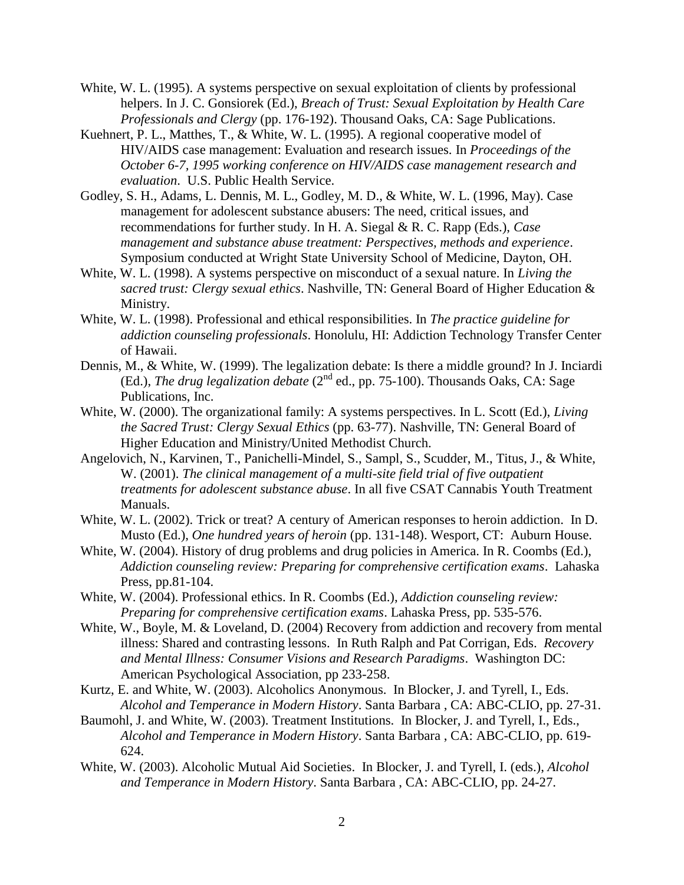- White, W. L. (1995). A systems perspective on sexual exploitation of clients by professional helpers. In J. C. Gonsiorek (Ed.), *Breach of Trust: Sexual Exploitation by Health Care Professionals and Clergy* (pp. 176-192). Thousand Oaks, CA: Sage Publications.
- Kuehnert, P. L., Matthes, T., & White, W. L. (1995). A regional cooperative model of HIV/AIDS case management: Evaluation and research issues. In *Proceedings of the October 6-7, 1995 working conference on HIV/AIDS case management research and evaluation*. U.S. Public Health Service.
- Godley, S. H., Adams, L. Dennis, M. L., Godley, M. D., & White, W. L. (1996, May). Case management for adolescent substance abusers: The need, critical issues, and recommendations for further study. In H. A. Siegal & R. C. Rapp (Eds.), *Case management and substance abuse treatment: Perspectives, methods and experience*. Symposium conducted at Wright State University School of Medicine, Dayton, OH.
- White, W. L. (1998). A systems perspective on misconduct of a sexual nature. In *Living the sacred trust: Clergy sexual ethics*. Nashville, TN: General Board of Higher Education & Ministry.
- White, W. L. (1998). Professional and ethical responsibilities. In *The practice guideline for addiction counseling professionals*. Honolulu, HI: Addiction Technology Transfer Center of Hawaii.
- Dennis, M., & White, W. (1999). The legalization debate: Is there a middle ground? In J. Inciardi (Ed.), *The drug legalization debate* (2<sup>nd</sup> ed., pp. 75-100). Thousands Oaks, CA: Sage Publications, Inc.
- White, W. (2000). The organizational family: A systems perspectives. In L. Scott (Ed.), *Living the Sacred Trust: Clergy Sexual Ethics* (pp. 63-77). Nashville, TN: General Board of Higher Education and Ministry/United Methodist Church.
- Angelovich, N., Karvinen, T., Panichelli-Mindel, S., Sampl, S., Scudder, M., Titus, J., & White, W. (2001). *The clinical management of a multi-site field trial of five outpatient treatments for adolescent substance abuse*. In all five CSAT Cannabis Youth Treatment Manuals.
- White, W. L. (2002). Trick or treat? A century of American responses to heroin addiction. In D. Musto (Ed.), *One hundred years of heroin* (pp. 131-148). Wesport, CT: Auburn House.
- White, W. (2004). History of drug problems and drug policies in America. In R. Coombs (Ed.), *Addiction counseling review: Preparing for comprehensive certification exams*. Lahaska Press, pp.81-104.
- White, W. (2004). Professional ethics. In R. Coombs (Ed.), *Addiction counseling review: Preparing for comprehensive certification exams*. Lahaska Press, pp. 535-576.
- White, W., Boyle, M. & Loveland, D. (2004) Recovery from addiction and recovery from mental illness: Shared and contrasting lessons. In Ruth Ralph and Pat Corrigan, Eds. *Recovery and Mental Illness: Consumer Visions and Research Paradigms*. Washington DC: American Psychological Association, pp 233-258.
- Kurtz, E. and White, W. (2003). Alcoholics Anonymous. In Blocker, J. and Tyrell, I., Eds. *Alcohol and Temperance in Modern History*. Santa Barbara , CA: ABC-CLIO, pp. 27-31.
- Baumohl, J. and White, W. (2003). Treatment Institutions. In Blocker, J. and Tyrell, I., Eds., *Alcohol and Temperance in Modern History*. Santa Barbara , CA: ABC-CLIO, pp. 619- 624.
- White, W. (2003). Alcoholic Mutual Aid Societies. In Blocker, J. and Tyrell, I. (eds.), *Alcohol and Temperance in Modern History*. Santa Barbara , CA: ABC-CLIO, pp. 24-27.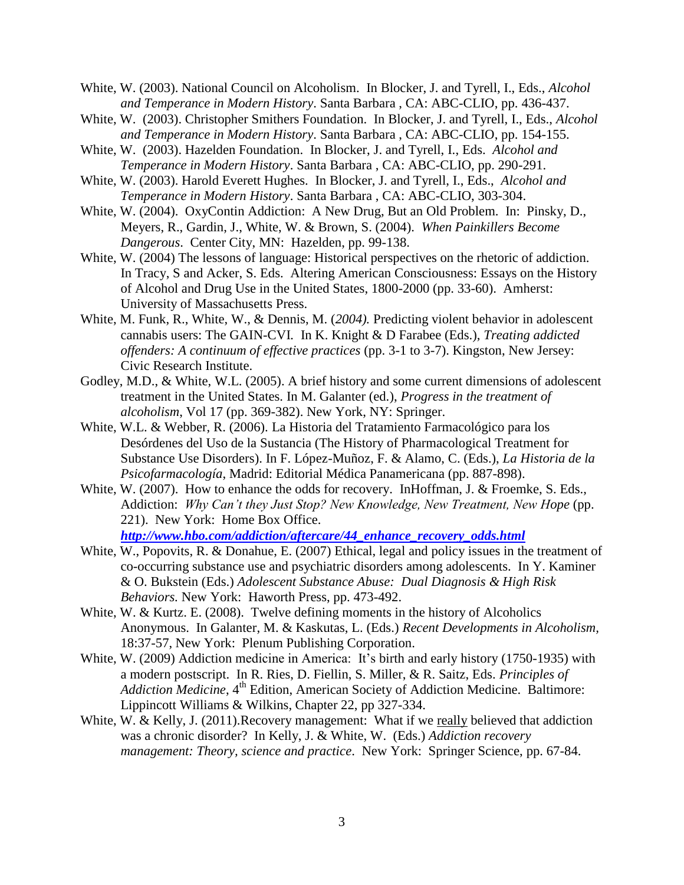- White, W. (2003). National Council on Alcoholism. In Blocker, J. and Tyrell, I., Eds., *Alcohol and Temperance in Modern History*. Santa Barbara , CA: ABC-CLIO, pp. 436-437.
- White, W. (2003). Christopher Smithers Foundation. In Blocker, J. and Tyrell, I., Eds., *Alcohol and Temperance in Modern History*. Santa Barbara , CA: ABC-CLIO, pp. 154-155.
- White, W. (2003). Hazelden Foundation. In Blocker, J. and Tyrell, I., Eds. *Alcohol and Temperance in Modern History*. Santa Barbara , CA: ABC-CLIO, pp. 290-291.
- White, W. (2003). Harold Everett Hughes. In Blocker, J. and Tyrell, I., Eds., *Alcohol and Temperance in Modern History*. Santa Barbara , CA: ABC-CLIO, 303-304.
- White, W. (2004). OxyContin Addiction: A New Drug, But an Old Problem. In: Pinsky, D., Meyers, R., Gardin, J., White, W. & Brown, S. (2004). *When Painkillers Become Dangerous*. Center City, MN: Hazelden, pp. 99-138.
- White, W. (2004) The lessons of language: Historical perspectives on the rhetoric of addiction. In Tracy, S and Acker, S. Eds. Altering American Consciousness: Essays on the History of Alcohol and Drug Use in the United States, 1800-2000 (pp. 33-60). Amherst: University of Massachusetts Press.
- White, M. Funk, R., White, W., & Dennis, M. (*2004).* Predicting violent behavior in adolescent cannabis users: The GAIN-CVI*.* In K. Knight & D Farabee (Eds.), *Treating addicted offenders: A continuum of effective practices* (pp. 3-1 to 3-7). Kingston, New Jersey: Civic Research Institute.
- Godley, M.D., & White, W.L. (2005). A brief history and some current dimensions of adolescent treatment in the United States. In M. Galanter (ed.), *Progress in the treatment of alcoholism*, Vol 17 (pp. 369-382). New York, NY: Springer.
- White, W.L. & Webber, R. (2006). La Historia del Tratamiento Farmacológico para los Desórdenes del Uso de la Sustancia (The History of Pharmacological Treatment for Substance Use Disorders). In F. López-Muñoz, F. & Alamo, C. (Eds.), *La Historia de la Psicofarmacología*, Madrid: Editorial Médica Panamericana (pp. 887-898).
- White, W. (2007). How to enhance the odds for recovery. InHoffman, J. & Froemke, S. Eds., Addiction: *Why Can't they Just Stop? New Knowledge, New Treatment, New Hope* (pp. 221). New York: Home Box Office. *[http://www.hbo.com/addiction/aftercare/44\\_enhance\\_recovery\\_odds.html](http://www.hbo.com/addiction/aftercare/44_enhance_recovery_odds.html)*
- White, W., Popovits, R. & Donahue, E. (2007) Ethical, legal and policy issues in the treatment of co-occurring substance use and psychiatric disorders among adolescents. In Y. Kaminer & O. Bukstein (Eds.) *Adolescent Substance Abuse: Dual Diagnosis & High Risk Behaviors.* New York:Haworth Press, pp. 473-492.
- White, W. & Kurtz. E. (2008). Twelve defining moments in the history of Alcoholics Anonymous. In Galanter, M. & Kaskutas, L. (Eds.) *Recent Developments in Alcoholism,*  18:37-57, New York: Plenum Publishing Corporation.
- White, W. (2009) Addiction medicine in America: It's birth and early history (1750-1935) with a modern postscript. In R. Ries, D. Fiellin, S. Miller, & R. Saitz, Eds. *Principles of Addiction Medicine*, 4<sup>th</sup> Edition, American Society of Addiction Medicine. Baltimore: Lippincott Williams & Wilkins, Chapter 22, pp 327-334.
- White, W. & Kelly, J. (2011). Recovery management: What if we really believed that addiction was a chronic disorder? In Kelly, J. & White, W. (Eds.) *Addiction recovery management: Theory, science and practice*. New York: Springer Science, pp. 67-84.